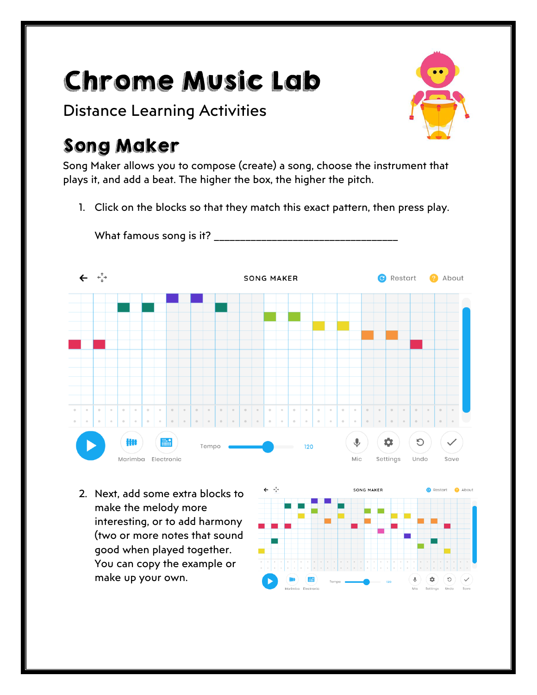# Chrome Music Lab

Distance Learning Activities

## Song Maker

Song Maker allows you to compose (create) a song, choose the instrument that plays it, and add a beat. The higher the box, the higher the pitch.

1. Click on the blocks so that they match this exact pattern, then press play.



2. Next, add some extra blocks to make the melody more interesting, or to add harmony (two or more notes that sound good when played together. You can copy the example or make up your own.

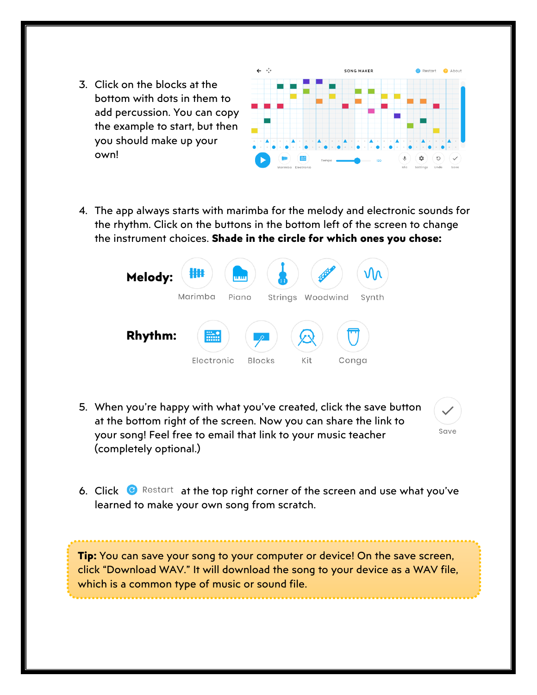3. Click on the blocks at the bottom with dots in them to add percussion. You can copy the example to start, but then you should make up your own!



4. The app always starts with marimba for the melody and electronic sounds for the rhythm. Click on the buttons in the bottom left of the screen to change the instrument choices. **Shade in the circle for which ones you chose:**



5. When you're happy with what you've created, click the save button at the bottom right of the screen. Now you can share the link to your song! Feel free to email that link to your music teacher (completely optional.)



6. Click  $\bullet$  Restart at the top right corner of the screen and use what you've learned to make your own song from scratch.

**Tip:** You can save your song to your computer or device! On the save screen, click "Download WAV." It will download the song to your device as a WAV file, which is a common type of music or sound file.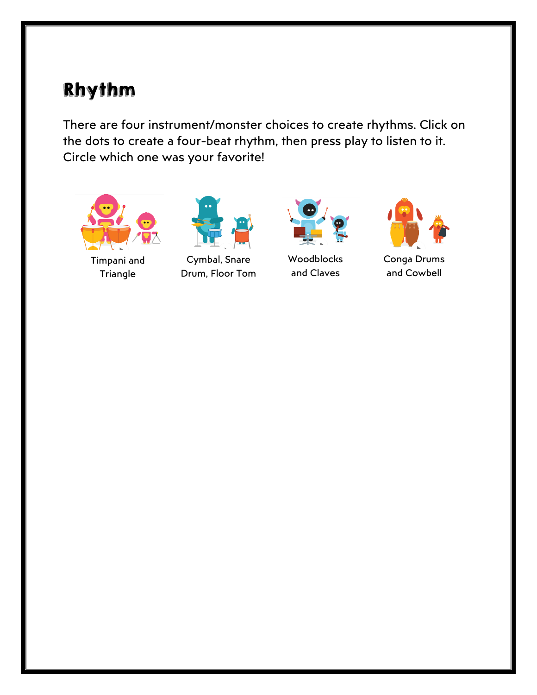#### Rhythm

There are four instrument/monster choices to create rhythms. Click on the dots to create a four-beat rhythm, then press play to listen to it. Circle which one was your favorite!



Timpani and **Triangle** 



Cymbal, Snare Drum, Floor Tom



Woodblocks and Claves



Conga Drums and Cowbell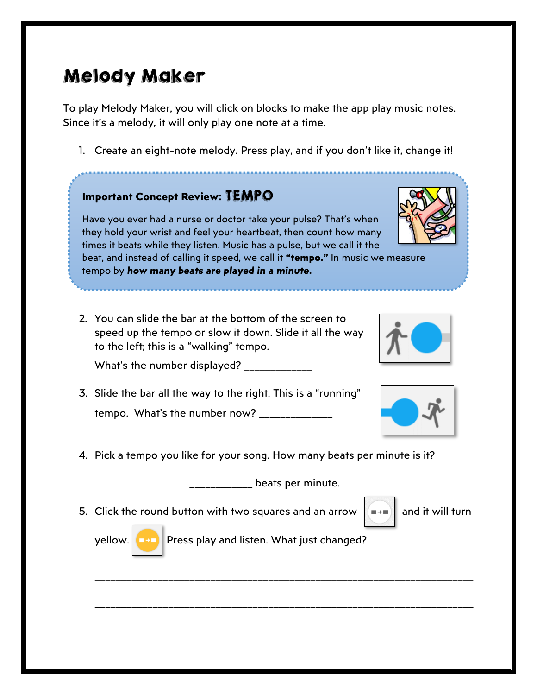### Melody Maker

To play Melody Maker, you will click on blocks to make the app play music notes. Since it's a melody, it will only play one note at a time.

1. Create an eight-note melody. Press play, and if you don't like it, change it!

#### **Important Concept Review:** TEMPO

Have you ever had a nurse or doctor take your pulse? That's when they hold your wrist and feel your heartbeat, then count how many times it beats while they listen. Music has a pulse, but we call it the beat, and instead of calling it speed, we call it **"tempo."** In music we measure tempo by *how many beats are played in a minute.* 

2. You can slide the bar at the bottom of the screen to speed up the tempo or slow it down. Slide it all the way to the left; this is a "walking" tempo.

What's the number displayed?

- 3. Slide the bar all the way to the right. This is a "running" tempo. What's the number now? \_\_\_\_\_\_\_\_\_\_
- 4. Pick a tempo you like for your song. How many beats per minute is it?

\_\_\_\_\_\_\_\_\_\_\_\_ beats per minute.

5. Click the round button with two squares and an arrow  $\|\bullet\|$  and it will turn

yellow. **Press play and listen.** What just changed?

\_\_\_\_\_\_\_\_\_\_\_\_\_\_\_\_\_\_\_\_\_\_\_\_\_\_\_\_\_\_\_\_\_\_\_\_\_\_\_\_\_\_\_\_\_\_\_\_\_\_\_\_\_\_\_\_\_\_\_\_\_\_\_\_\_\_\_\_\_\_\_\_

\_\_\_\_\_\_\_\_\_\_\_\_\_\_\_\_\_\_\_\_\_\_\_\_\_\_\_\_\_\_\_\_\_\_\_\_\_\_\_\_\_\_\_\_\_\_\_\_\_\_\_\_\_\_\_\_\_\_\_\_\_\_\_\_\_\_\_\_\_\_\_\_